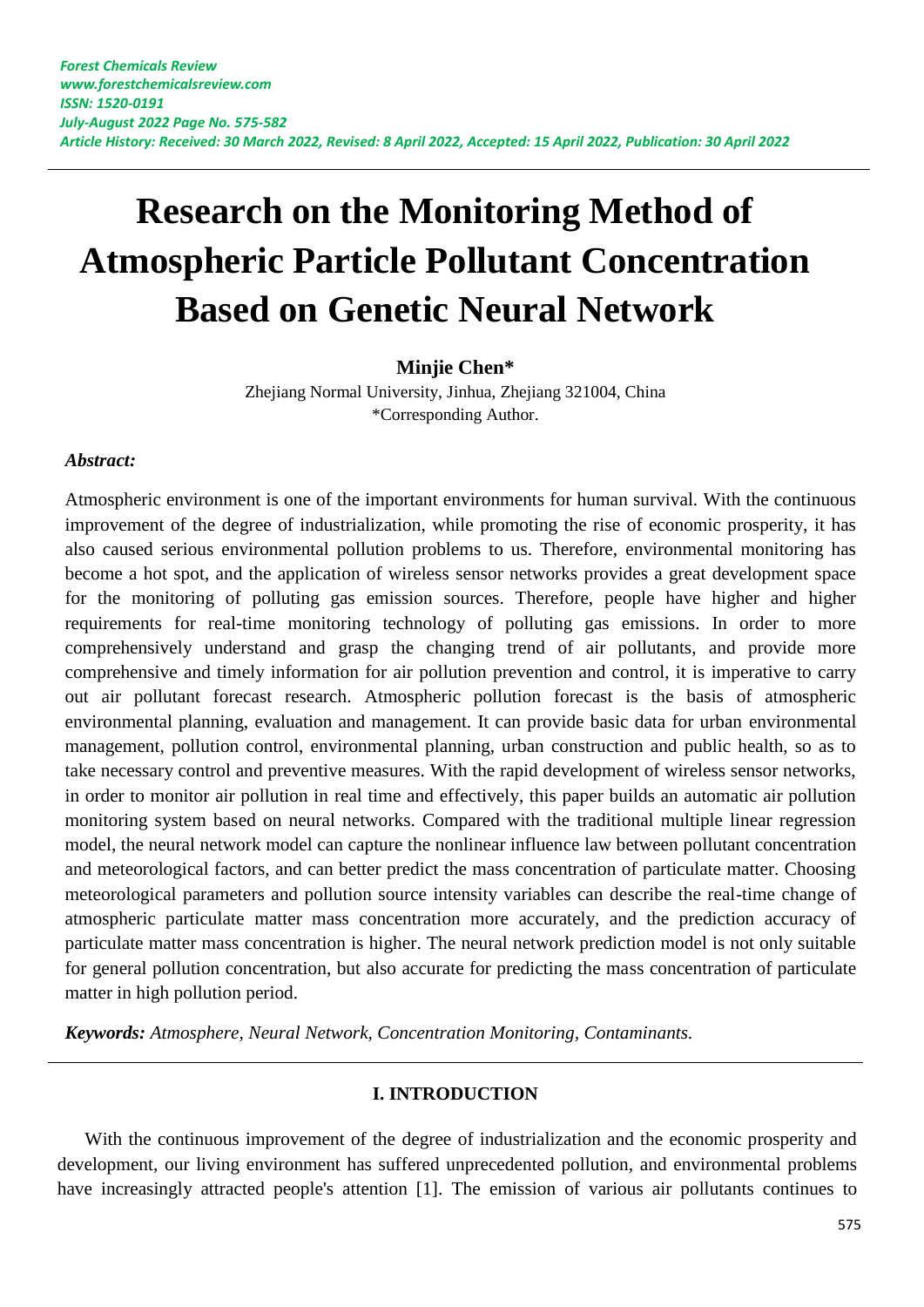# **Research on the Monitoring Method of Atmospheric Particle Pollutant Concentration Based on Genetic Neural Network**

# **Minjie Chen\***

Zhejiang Normal University, Jinhua, Zhejiang 321004, China \*Corresponding Author.

## *Abstract:*

Atmospheric environment is one of the important environments for human survival. With the continuous improvement of the degree of industrialization, while promoting the rise of economic prosperity, it has also caused serious environmental pollution problems to us. Therefore, environmental monitoring has become a hot spot, and the application of wireless sensor networks provides a great development space for the monitoring of polluting gas emission sources. Therefore, people have higher and higher requirements for real-time monitoring technology of polluting gas emissions. In order to more comprehensively understand and grasp the changing trend of air pollutants, and provide more comprehensive and timely information for air pollution prevention and control, it is imperative to carry out air pollutant forecast research. Atmospheric pollution forecast is the basis of atmospheric environmental planning, evaluation and management. It can provide basic data for urban environmental management, pollution control, environmental planning, urban construction and public health, so as to take necessary control and preventive measures. With the rapid development of wireless sensor networks, in order to monitor air pollution in real time and effectively, this paper builds an automatic air pollution monitoring system based on neural networks. Compared with the traditional multiple linear regression model, the neural network model can capture the nonlinear influence law between pollutant concentration and meteorological factors, and can better predict the mass concentration of particulate matter. Choosing meteorological parameters and pollution source intensity variables can describe the real-time change of atmospheric particulate matter mass concentration more accurately, and the prediction accuracy of particulate matter mass concentration is higher. The neural network prediction model is not only suitable for general pollution concentration, but also accurate for predicting the mass concentration of particulate matter in high pollution period.

*Keywords: Atmosphere, Neural Network, Concentration Monitoring, Contaminants.*

# **I. INTRODUCTION**

With the continuous improvement of the degree of industrialization and the economic prosperity and development, our living environment has suffered unprecedented pollution, and environmental problems have increasingly attracted people's attention [1]. The emission of various air pollutants continues to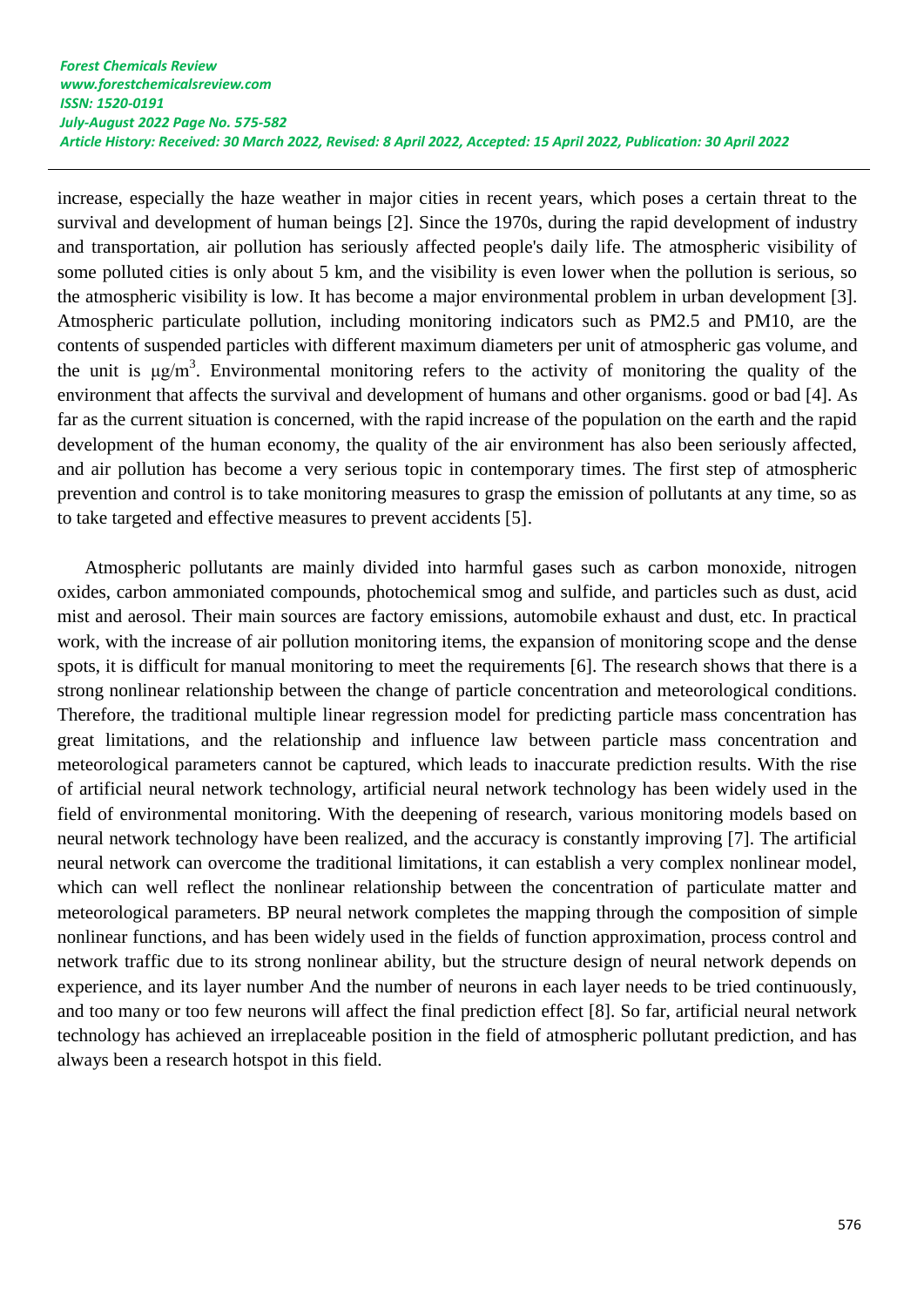increase, especially the haze weather in major cities in recent years, which poses a certain threat to the survival and development of human beings [2]. Since the 1970s, during the rapid development of industry and transportation, air pollution has seriously affected people's daily life. The atmospheric visibility of some polluted cities is only about 5 km, and the visibility is even lower when the pollution is serious, so the atmospheric visibility is low. It has become a major environmental problem in urban development [3]. Atmospheric particulate pollution, including monitoring indicators such as PM2.5 and PM10, are the contents of suspended particles with different maximum diameters per unit of atmospheric gas volume, and the unit is  $\mu$ g/m<sup>3</sup>. Environmental monitoring refers to the activity of monitoring the quality of the environment that affects the survival and development of humans and other organisms. good or bad [4]. As far as the current situation is concerned, with the rapid increase of the population on the earth and the rapid development of the human economy, the quality of the air environment has also been seriously affected, and air pollution has become a very serious topic in contemporary times. The first step of atmospheric prevention and control is to take monitoring measures to grasp the emission of pollutants at any time, so as to take targeted and effective measures to prevent accidents [5].

Atmospheric pollutants are mainly divided into harmful gases such as carbon monoxide, nitrogen oxides, carbon ammoniated compounds, photochemical smog and sulfide, and particles such as dust, acid mist and aerosol. Their main sources are factory emissions, automobile exhaust and dust, etc. In practical work, with the increase of air pollution monitoring items, the expansion of monitoring scope and the dense spots, it is difficult for manual monitoring to meet the requirements [6]. The research shows that there is a strong nonlinear relationship between the change of particle concentration and meteorological conditions. Therefore, the traditional multiple linear regression model for predicting particle mass concentration has great limitations, and the relationship and influence law between particle mass concentration and meteorological parameters cannot be captured, which leads to inaccurate prediction results. With the rise of artificial neural network technology, artificial neural network technology has been widely used in the field of environmental monitoring. With the deepening of research, various monitoring models based on neural network technology have been realized, and the accuracy is constantly improving [7]. The artificial neural network can overcome the traditional limitations, it can establish a very complex nonlinear model, which can well reflect the nonlinear relationship between the concentration of particulate matter and meteorological parameters. BP neural network completes the mapping through the composition of simple nonlinear functions, and has been widely used in the fields of function approximation, process control and network traffic due to its strong nonlinear ability, but the structure design of neural network depends on experience, and its layer number And the number of neurons in each layer needs to be tried continuously, and too many or too few neurons will affect the final prediction effect [8]. So far, artificial neural network technology has achieved an irreplaceable position in the field of atmospheric pollutant prediction, and has always been a research hotspot in this field.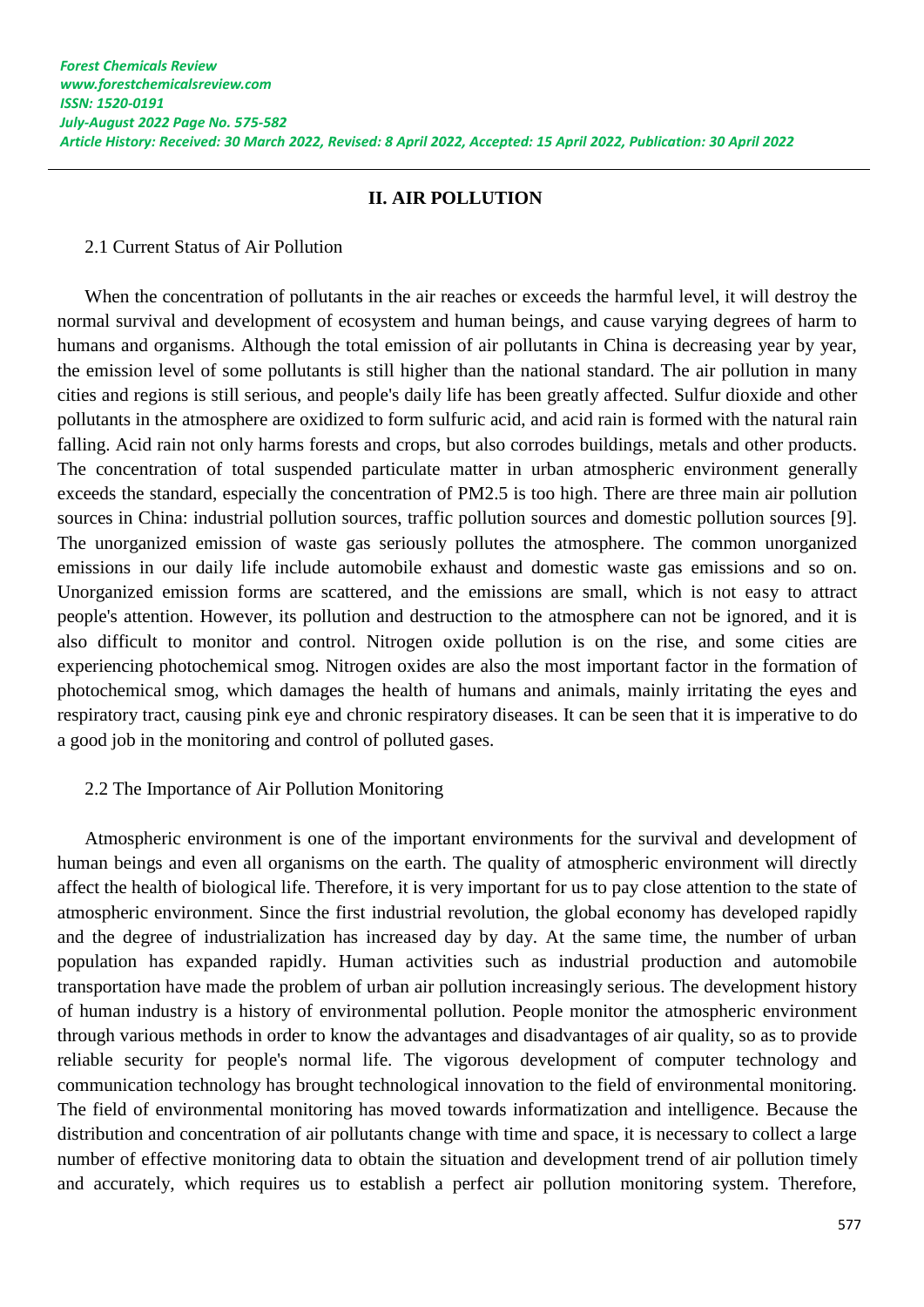# **II. AIR POLLUTION**

2.1 Current Status of Air Pollution

When the concentration of pollutants in the air reaches or exceeds the harmful level, it will destroy the normal survival and development of ecosystem and human beings, and cause varying degrees of harm to humans and organisms. Although the total emission of air pollutants in China is decreasing year by year, the emission level of some pollutants is still higher than the national standard. The air pollution in many cities and regions is still serious, and people's daily life has been greatly affected. Sulfur dioxide and other pollutants in the atmosphere are oxidized to form sulfuric acid, and acid rain is formed with the natural rain falling. Acid rain not only harms forests and crops, but also corrodes buildings, metals and other products. The concentration of total suspended particulate matter in urban atmospheric environment generally exceeds the standard, especially the concentration of PM2.5 is too high. There are three main air pollution sources in China: industrial pollution sources, traffic pollution sources and domestic pollution sources [9]. The unorganized emission of waste gas seriously pollutes the atmosphere. The common unorganized emissions in our daily life include automobile exhaust and domestic waste gas emissions and so on. Unorganized emission forms are scattered, and the emissions are small, which is not easy to attract people's attention. However, its pollution and destruction to the atmosphere can not be ignored, and it is also difficult to monitor and control. Nitrogen oxide pollution is on the rise, and some cities are experiencing photochemical smog. Nitrogen oxides are also the most important factor in the formation of photochemical smog, which damages the health of humans and animals, mainly irritating the eyes and respiratory tract, causing pink eye and chronic respiratory diseases. It can be seen that it is imperative to do a good job in the monitoring and control of polluted gases.

#### 2.2 The Importance of Air Pollution Monitoring

Atmospheric environment is one of the important environments for the survival and development of human beings and even all organisms on the earth. The quality of atmospheric environment will directly affect the health of biological life. Therefore, it is very important for us to pay close attention to the state of atmospheric environment. Since the first industrial revolution, the global economy has developed rapidly and the degree of industrialization has increased day by day. At the same time, the number of urban population has expanded rapidly. Human activities such as industrial production and automobile transportation have made the problem of urban air pollution increasingly serious. The development history of human industry is a history of environmental pollution. People monitor the atmospheric environment through various methods in order to know the advantages and disadvantages of air quality, so as to provide reliable security for people's normal life. The vigorous development of computer technology and communication technology has brought technological innovation to the field of environmental monitoring. The field of environmental monitoring has moved towards informatization and intelligence. Because the distribution and concentration of air pollutants change with time and space, it is necessary to collect a large number of effective monitoring data to obtain the situation and development trend of air pollution timely and accurately, which requires us to establish a perfect air pollution monitoring system. Therefore,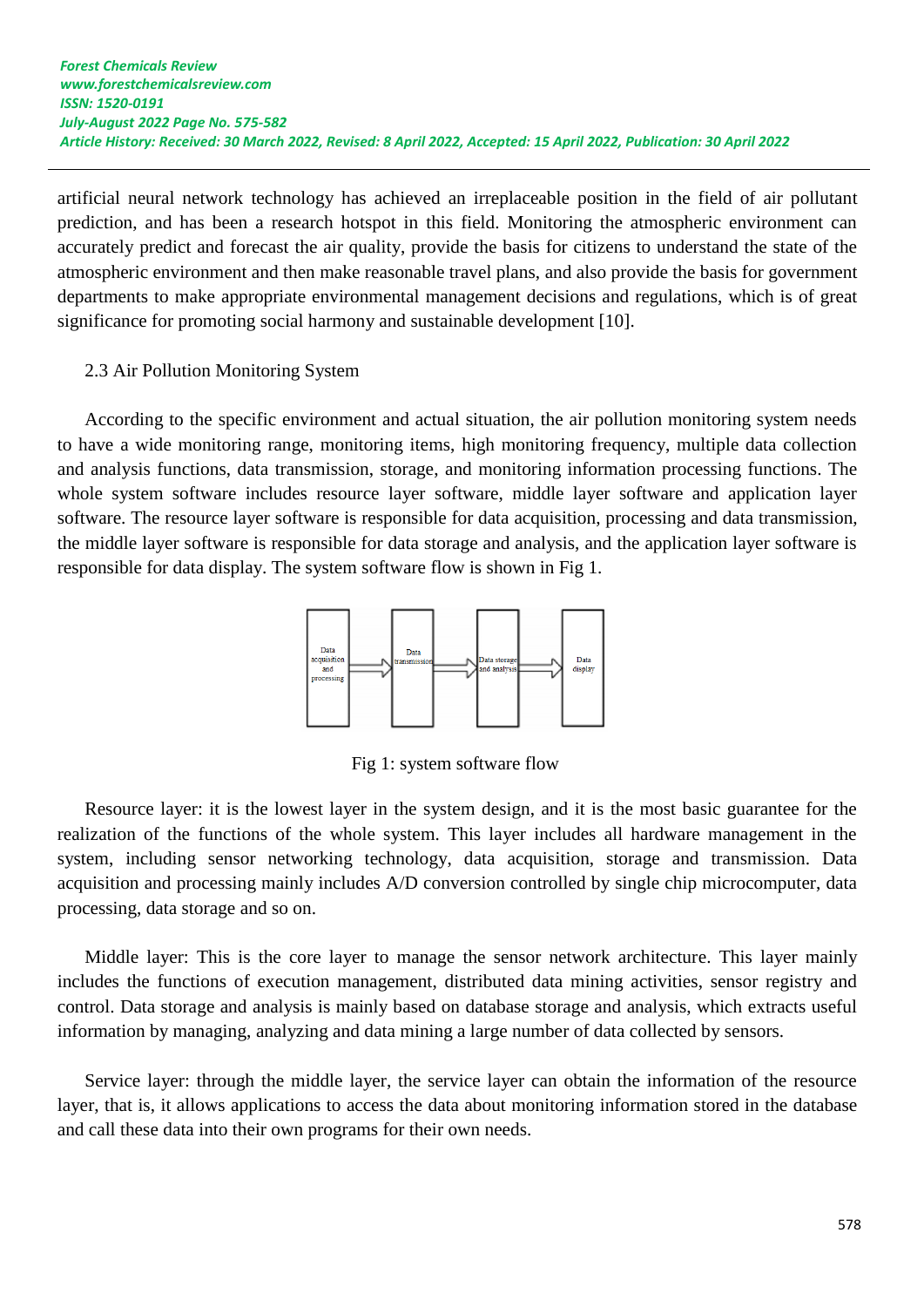artificial neural network technology has achieved an irreplaceable position in the field of air pollutant prediction, and has been a research hotspot in this field. Monitoring the atmospheric environment can accurately predict and forecast the air quality, provide the basis for citizens to understand the state of the atmospheric environment and then make reasonable travel plans, and also provide the basis for government departments to make appropriate environmental management decisions and regulations, which is of great significance for promoting social harmony and sustainable development [10].

## 2.3 Air Pollution Monitoring System

According to the specific environment and actual situation, the air pollution monitoring system needs to have a wide monitoring range, monitoring items, high monitoring frequency, multiple data collection and analysis functions, data transmission, storage, and monitoring information processing functions. The whole system software includes resource layer software, middle layer software and application layer software. The resource layer software is responsible for data acquisition, processing and data transmission, the middle layer software is responsible for data storage and analysis, and the application layer software is responsible for data display. The system software flow is shown in Fig 1.



Fig 1: system software flow

Resource layer: it is the lowest layer in the system design, and it is the most basic guarantee for the realization of the functions of the whole system. This layer includes all hardware management in the system, including sensor networking technology, data acquisition, storage and transmission. Data acquisition and processing mainly includes A/D conversion controlled by single chip microcomputer, data processing, data storage and so on.

Middle layer: This is the core layer to manage the sensor network architecture. This layer mainly includes the functions of execution management, distributed data mining activities, sensor registry and control. Data storage and analysis is mainly based on database storage and analysis, which extracts useful information by managing, analyzing and data mining a large number of data collected by sensors.

Service layer: through the middle layer, the service layer can obtain the information of the resource layer, that is, it allows applications to access the data about monitoring information stored in the database and call these data into their own programs for their own needs.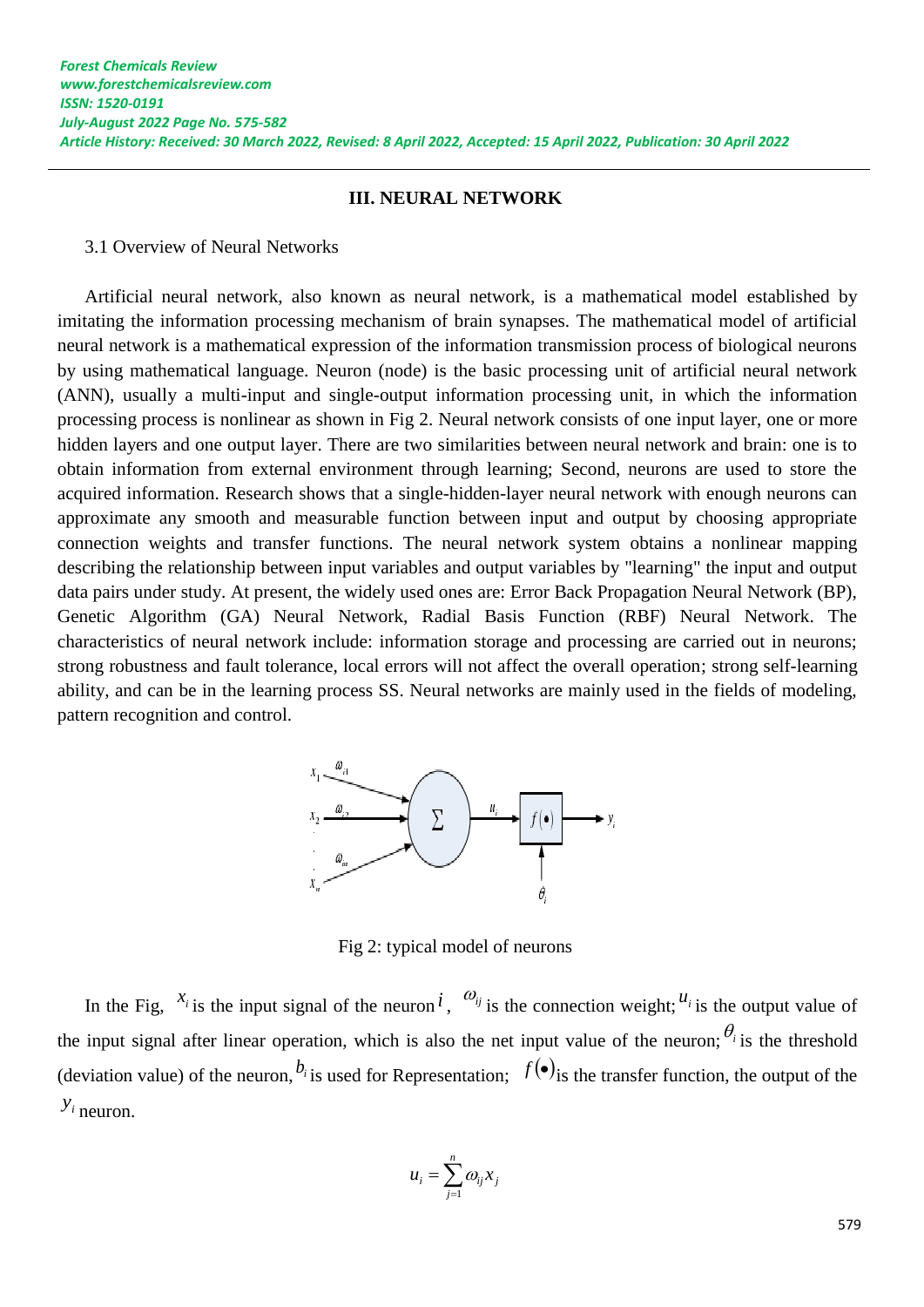#### **III. NEURAL NETWORK**

3.1 Overview of Neural Networks

Artificial neural network, also known as neural network, is a mathematical model established by imitating the information processing mechanism of brain synapses. The mathematical model of artificial neural network is a mathematical expression of the information transmission process of biological neurons by using mathematical language. Neuron (node) is the basic processing unit of artificial neural network (ANN), usually a multi-input and single-output information processing unit, in which the information processing process is nonlinear as shown in Fig 2. Neural network consists of one input layer, one or more hidden layers and one output layer. There are two similarities between neural network and brain: one is to obtain information from external environment through learning; Second, neurons are used to store the acquired information. Research shows that a single-hidden-layer neural network with enough neurons can approximate any smooth and measurable function between input and output by choosing appropriate connection weights and transfer functions. The neural network system obtains a nonlinear mapping describing the relationship between input variables and output variables by "learning" the input and output data pairs under study. At present, the widely used ones are: Error Back Propagation Neural Network (BP), Genetic Algorithm (GA) Neural Network, Radial Basis Function (RBF) Neural Network. The characteristics of neural network include: information storage and processing are carried out in neurons; strong robustness and fault tolerance, local errors will not affect the overall operation; strong self-learning ability, and can be in the learning process SS. Neural networks are mainly used in the fields of modeling, pattern recognition and control.



Fig 2: typical model of neurons

In the Fig,  $x_i$  is the input signal of the neuron *i*,  $\omega_{ij}$  is the connection weight;  $u_i$  is the output value of the input signal after linear operation, which is also the net input value of the neuron;  $\theta_i$  is the threshold (deviation value) of the neuron,  $b_i$  is used for Representation;  $f(\bullet)$  is the transfer function, the output of the *i y* neuron.

$$
u_i = \sum_{j=1}^n \omega_{ij} x_j
$$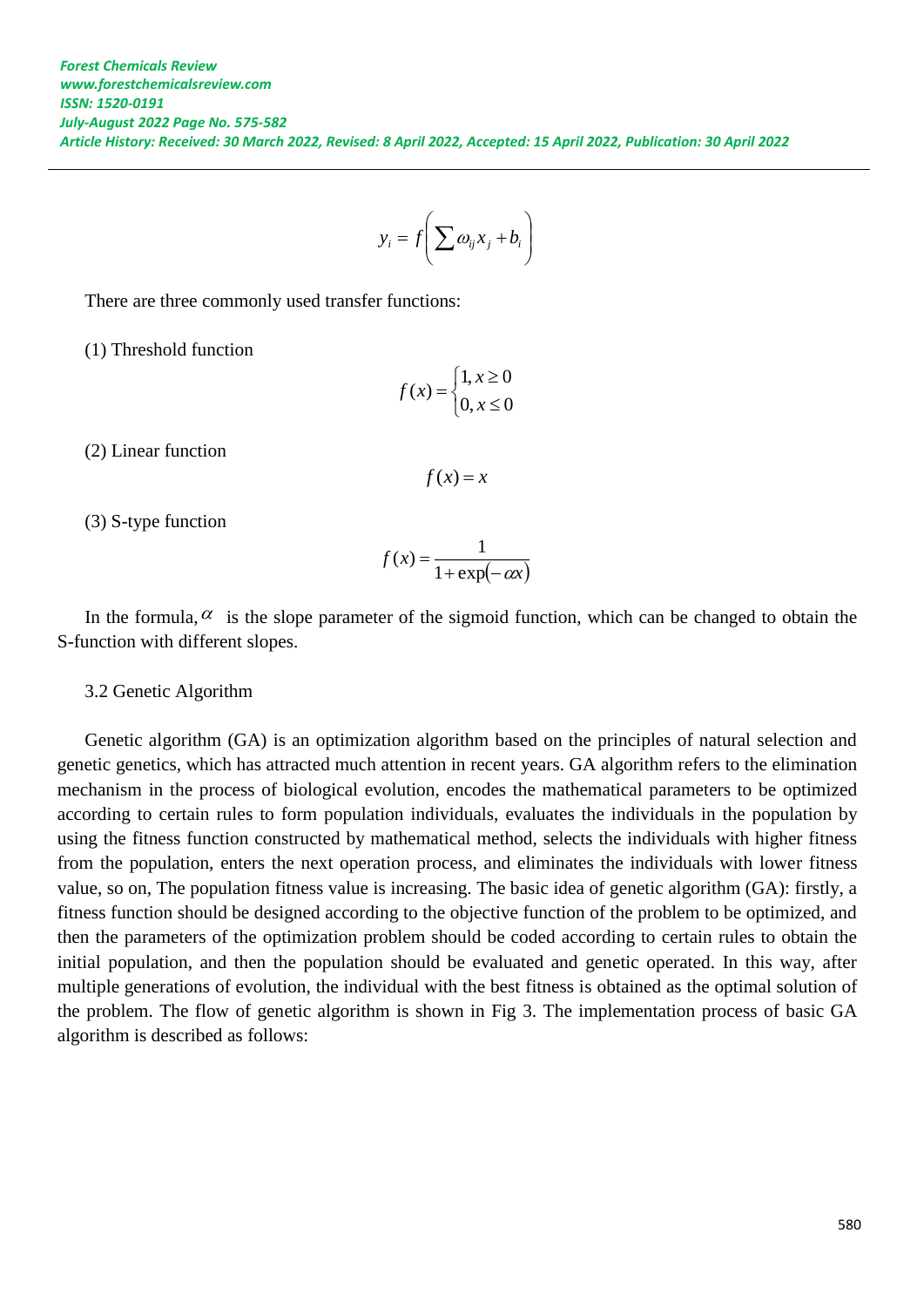$$
y_i = f\left(\sum \omega_{ij} x_j + b_i\right)
$$

There are three commonly used transfer functions:

(1) Threshold function

$$
f(x) = \begin{cases} 1, x \ge 0 \\ 0, x \le 0 \end{cases}
$$

(2) Linear function

$$
f(x) = x
$$

(3) S-type function

$$
f(x) = \frac{1}{1 + \exp(-\alpha x)}
$$

In the formula,  $\alpha$  is the slope parameter of the sigmoid function, which can be changed to obtain the S-function with different slopes.

#### 3.2 Genetic Algorithm

Genetic algorithm (GA) is an optimization algorithm based on the principles of natural selection and genetic genetics, which has attracted much attention in recent years. GA algorithm refers to the elimination mechanism in the process of biological evolution, encodes the mathematical parameters to be optimized according to certain rules to form population individuals, evaluates the individuals in the population by using the fitness function constructed by mathematical method, selects the individuals with higher fitness from the population, enters the next operation process, and eliminates the individuals with lower fitness value, so on, The population fitness value is increasing. The basic idea of genetic algorithm (GA): firstly, a fitness function should be designed according to the objective function of the problem to be optimized, and then the parameters of the optimization problem should be coded according to certain rules to obtain the initial population, and then the population should be evaluated and genetic operated. In this way, after multiple generations of evolution, the individual with the best fitness is obtained as the optimal solution of the problem. The flow of genetic algorithm is shown in Fig 3. The implementation process of basic GA algorithm is described as follows: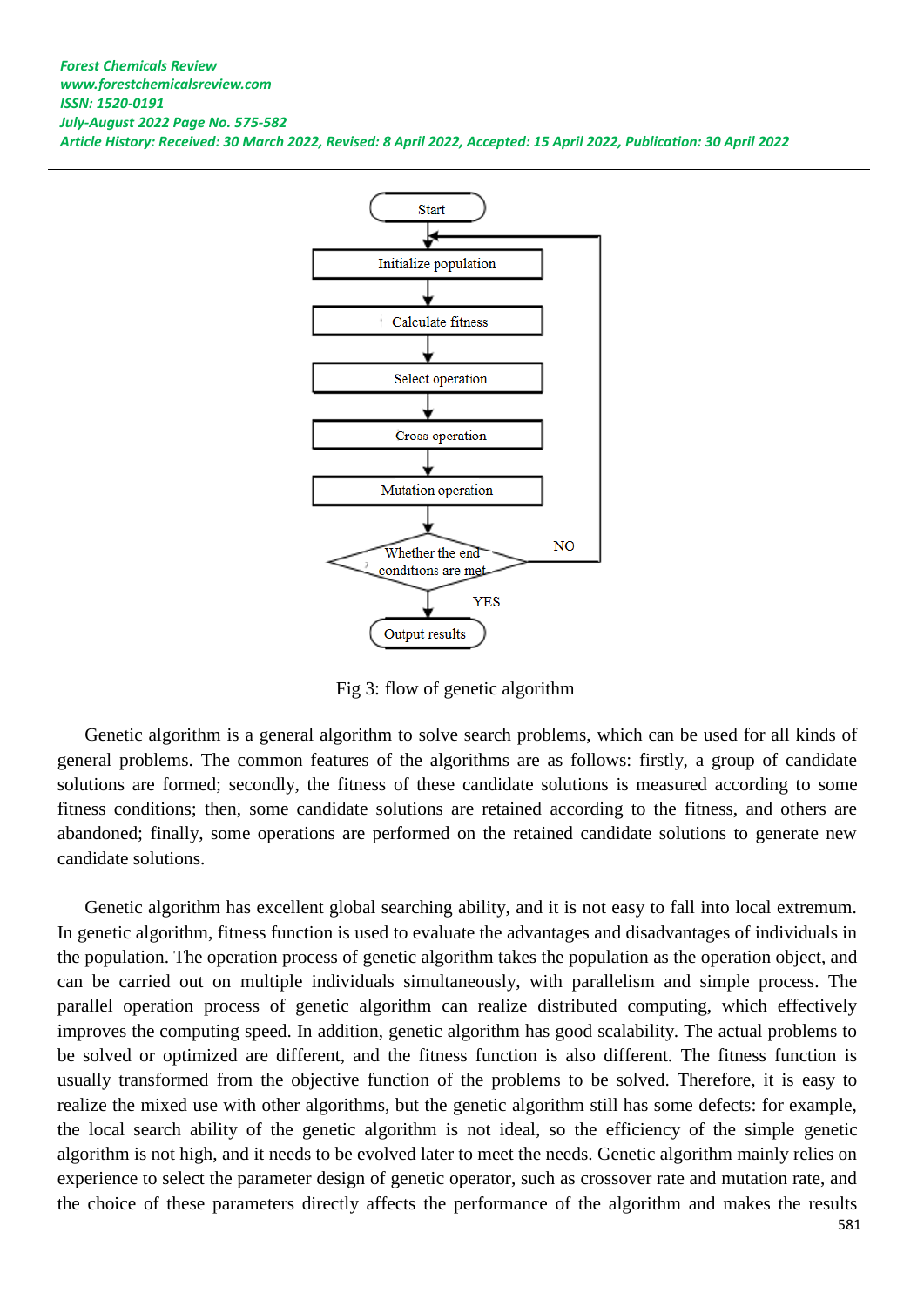

Fig 3: flow of genetic algorithm

Genetic algorithm is a general algorithm to solve search problems, which can be used for all kinds of general problems. The common features of the algorithms are as follows: firstly, a group of candidate solutions are formed; secondly, the fitness of these candidate solutions is measured according to some fitness conditions; then, some candidate solutions are retained according to the fitness, and others are abandoned; finally, some operations are performed on the retained candidate solutions to generate new candidate solutions.

Genetic algorithm has excellent global searching ability, and it is not easy to fall into local extremum. In genetic algorithm, fitness function is used to evaluate the advantages and disadvantages of individuals in the population. The operation process of genetic algorithm takes the population as the operation object, and can be carried out on multiple individuals simultaneously, with parallelism and simple process. The parallel operation process of genetic algorithm can realize distributed computing, which effectively improves the computing speed. In addition, genetic algorithm has good scalability. The actual problems to be solved or optimized are different, and the fitness function is also different. The fitness function is usually transformed from the objective function of the problems to be solved. Therefore, it is easy to realize the mixed use with other algorithms, but the genetic algorithm still has some defects: for example, the local search ability of the genetic algorithm is not ideal, so the efficiency of the simple genetic algorithm is not high, and it needs to be evolved later to meet the needs. Genetic algorithm mainly relies on experience to select the parameter design of genetic operator, such as crossover rate and mutation rate, and the choice of these parameters directly affects the performance of the algorithm and makes the results